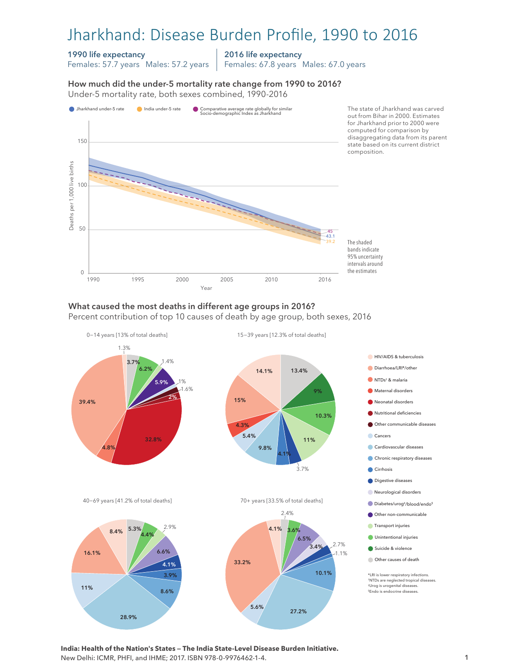# Jharkhand: Disease Burden Profile, 1990 to 2016

### 1990 life expectancy

Females: 57.7 years Males: 57.2 years

2016 life expectancy

Females: 67.8 years Males: 67.0 years

How much did the under-5 mortality rate change from 1990 to 2016?

How much did the under-5 mortality rate change from 1990 to 2016? Under-5 mortality rate, both sexes combined, 1990-2016 Under-5 mortality rate, both sexes combined, 1990-2016



#### What caused the most deaths in different age groups in 2016?

Percent contribution of top 10 causes of death by age group, both sexes, 2016



**India: Health of the Nation's States — The India State-Level Disease Burden Initiative.**  New Delhi: ICMR, PHFI, and IHME; 2017. ISBN 978-0-9976462-1-4.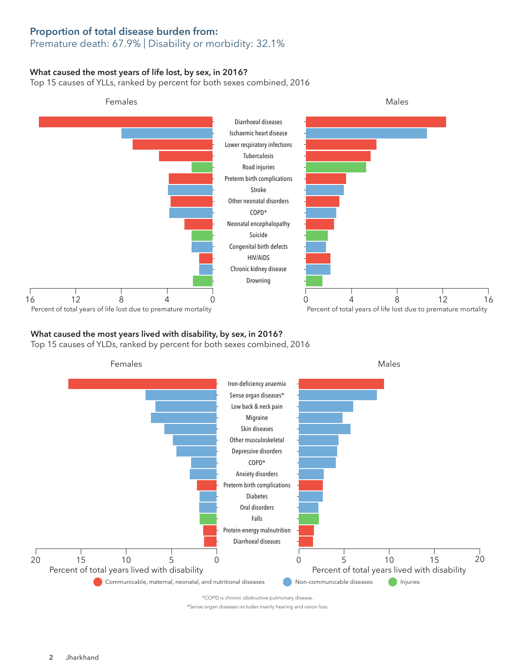# Proportion of total disease burden from:

## Premature death: 67.9% | Disability or morbidity: 32.1%

## What caused the most years of life lost, by sex, in 2016?

Top 15 causes of YLLs, ranked by percent for both sexes combined, 2016



## What caused the most years lived with disability, by sex, in 2016?

Top 15 causes of YLDs, ranked by percent for both sexes combined, 2016



\*COPD is chronic obstructive pulmonary disease.

\*Sense organ diseases includes mainly hearing and vision loss.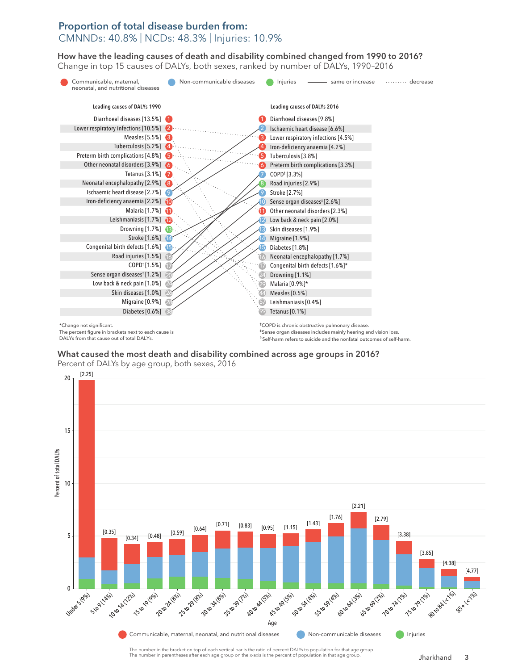## Proportion of total disease burden from: CMNNDs: 40.8% | NCDs: 48.3% | Injuries: 10.9%

How have the leading causes of death and disability combined changed from 1990 to 2016? How have the leading causes of death and disability combined changed from 1990 to 2016? Change in top 15 causes of DALYs, both sexes, ranked by number of DALYs, 1990–2016 Change in top 15 causes of DALYs, both sexes, ranked by number of DALYs, 1990–2016



DALYs from that cause out of total DALYs.

What caused the most death and disability combined across age groups in 2016? Percent of DALYs by age group, both sexes, 2016



The number in the bracket on top of each vertical bar is the ratio of percent DALYs to population for that age group. The number in parentheses after each age group on the x-axis is the percent of population in that age group.